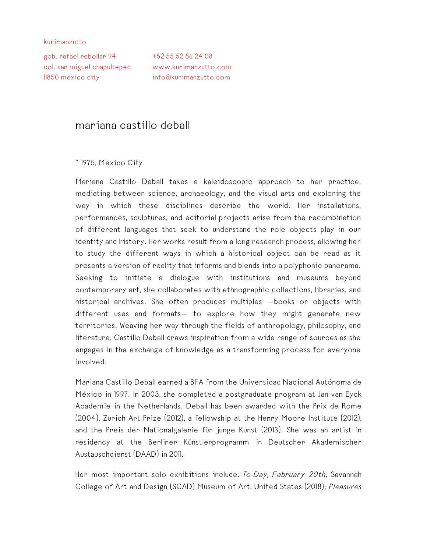kurimanzutto

gob. rafael rebollar 94 +52 55 52 56 24 08 col. san miguel chapultepec www.kurimanzutto.com 11850 mexico city info@kurimanzutto.com

## mariana castillo deball

## \* 1975, Mexico City

Mariana Castillo Deball takes a kaleidoscopic approach to her practice, mediating between science, archaeology, and the visual arts and exploring the way in which these disciplines describe the world. Her installations, performances, sculptures, and editorial projects arise from the recombination of different languages that seek to understand the role objects play in our identity and history. Her works result from a long research process, allowing her to study the different ways in which a historical object can be read as it presents a version of reality that informs and blends into a polyphonic panorama. Seeking to initiate a dialogue with institutions and museums beyond contemporary art, she collaborates with ethnographic collections, libraries, and historical archives. She often produces multiples —books or objects with different uses and formats— to explore how they might generate new territories. Weaving her way through the fields of anthropology, philosophy, and literature, Castillo Deball draws inspiration from a wide range of sources as she engages in the exchange of knowledge as a transforming process for everyone involved.

Mariana Castillo Deball earned a BFA from the Universidad Nacional Autónoma de México in 1997. In 2003, she completed a postgraduate program at Jan van Eyck Academie in the Netherlands. Deball has been awarded with the Prix de Rome (2004), Zurich Art Prize (2012), a fellowship at the Henry Moore Institute (2012), and the Preis der Nationalgalerie für junge Kunst (2013). She was an artist in residency at the Berliner Künstlerprogramm in Deutscher Akademischer Austauschdienst (DAAD) in 2011.

Her most important solo exhibitions include: *To-Day, February 20th*, Savannah College of Art and Design (SCAD) Museum of Art, United States (2018); *Pleasures*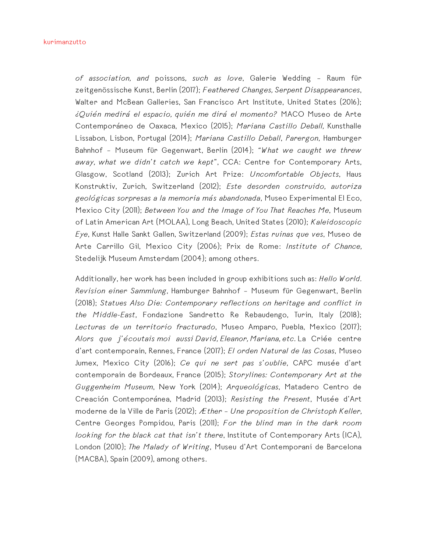*of association, and* poissons*, such as love*, Galerie Wedding – Raum für zeitgenössische Kunst, Berlin (2017); *Feathered Changes, Serpent Disappearances*, Walter and McBean Galleries, San Francisco Art Institute, United States (2016); *¿Quién medirá el espacio, quién me dirá el momento?* MACO Museo de Arte Contemporáneo de Oaxaca, Mexico (2015); *Mariana Castillo Deball,* Kunsthalle Lissabon, Lisbon, Portugal (2014); *Mariana Castillo Deball*, *Parergon*, Hamburger Bahnhof – Museum für Gegenwart, Berlin (2014); *"What we caught we threw away, what we didn't catch we kept*", CCA: Centre for Contemporary Arts, Glasgow, Scotland (2013); Zurich Art Prize: *Uncomfortable Objects*, Haus Konstruktiv, Zurich, Switzerland (2012); *Este desorden construido, autoriza geológicas sorpresas a la memoria más abandonada*, Museo Experimental El Eco, Mexico City (2011); *Between You and the Image of You That Reaches Me*, Museum of Latin American Art (MOLAA), Long Beach, United States (2010); *Kaleidoscopic Eye*, Kunst Halle Sankt Gallen, Switzerland (2009); *Estas ruinas que ves*, Museo de Arte Carrillo Gil, Mexico City (2006); Prix de Rome: *Institute of Chance,* Stedelijk Museum Amsterdam (2004); among others.

Additionally, her work has been included in group exhibitions such as: *Hello World. Revision einer Sammlung*, Hamburger Bahnhof – Museum für Gegenwart, Berlin (2018); *Statues Also Die: Contemporary reflections on heritage and conflict in the Middle-East*, Fondazione Sandretto Re Rebaudengo, Turin, Italy (2018); *Lecturas de un territorio fracturado*, Museo Amparo, Puebla, Mexico (2017); *Alors que j'écoutais moi aussi David, Eleanor, Mariana, etc.* La Criée centre d'art contemporain, Rennes, France (2017); *El orden Natural de las Cosas*, Museo Jumex, Mexico City (2016); *Ce qui ne sert pas s'oublie*, CAPC musée d'art contemporain de Bordeaux, France (2015); *Storylines: Contemporary Art at the Guggenheim Museum*, New York (2014); *Arqueológicas*, Matadero Centro de Creación Contemporánea, Madrid (2013); *Resisting the Present*, Musée d'Art moderne de la Ville de Paris (2012); *Æther – Une proposition de Christoph Keller,* Centre Georges Pompidou, Paris (2011); *For the blind man in the dark room looking for the black cat that isn't there*, Institute of Contemporary Arts (ICA), London (2010); *The Malady of Writing*, Museu d'Art Contemporani de Barcelona (MACBA), Spain (2009), among others.